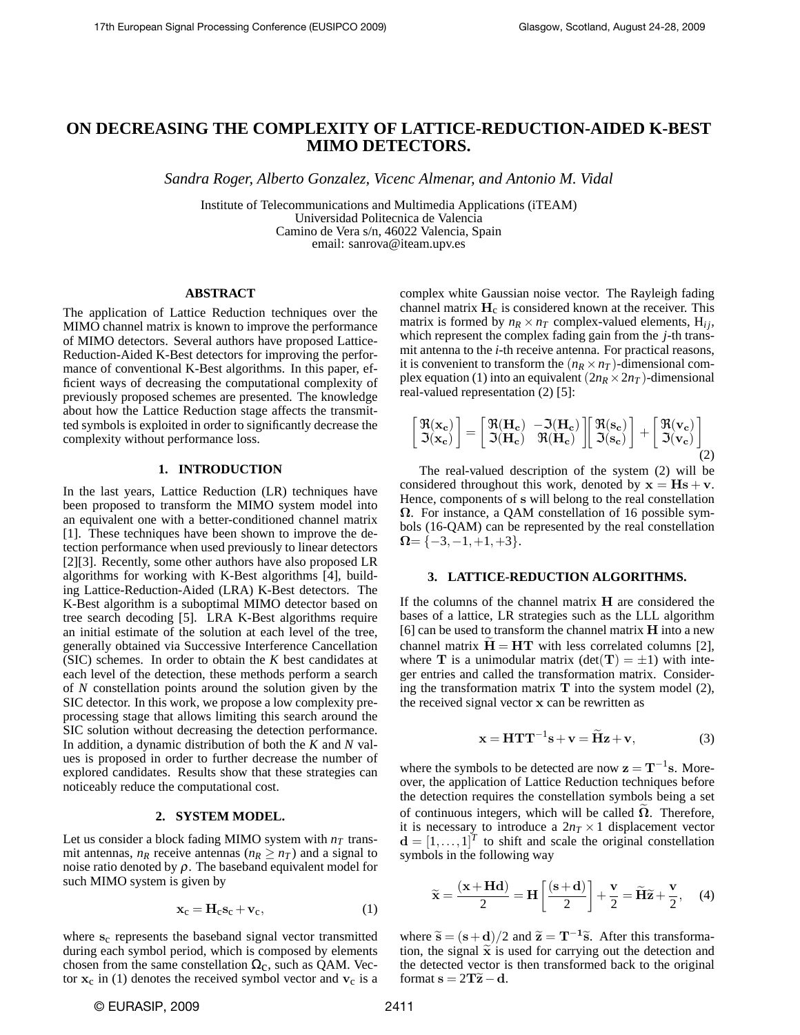# **ON DECREASING THE COMPLEXITY OF LATTICE-REDUCTION-AIDED K-BEST MIMO DETECTORS.**

*Sandra Roger, Alberto Gonzalez, Vicenc Almenar, and Antonio M. Vidal*

Institute of Telecommunications and Multimedia Applications (iTEAM) Universidad Politecnica de Valencia Camino de Vera s/n, 46022 Valencia, Spain email: sanrova@iteam.upv.es

## **ABSTRACT**

The application of Lattice Reduction techniques over the MIMO channel matrix is known to improve the performance of MIMO detectors. Several authors have proposed Lattice-Reduction-Aided K-Best detectors for improving the performance of conventional K-Best algorithms. In this paper, efficient ways of decreasing the computational complexity of previously proposed schemes are presented. The knowledge about how the Lattice Reduction stage affects the transmitted symbols is exploited in order to significantly decrease the complexity without performance loss.

### **1. INTRODUCTION**

In the last years, Lattice Reduction (LR) techniques have been proposed to transform the MIMO system model into an equivalent one with a better-conditioned channel matrix [1]. These techniques have been shown to improve the detection performance when used previously to linear detectors [2][3]. Recently, some other authors have also proposed LR algorithms for working with K-Best algorithms [4], building Lattice-Reduction-Aided (LRA) K-Best detectors. The K-Best algorithm is a suboptimal MIMO detector based on tree search decoding [5]. LRA K-Best algorithms require an initial estimate of the solution at each level of the tree, generally obtained via Successive Interference Cancellation (SIC) schemes. In order to obtain the *K* best candidates at each level of the detection, these methods perform a search of *N* constellation points around the solution given by the SIC detector. In this work, we propose a low complexity preprocessing stage that allows limiting this search around the SIC solution without decreasing the detection performance. In addition, a dynamic distribution of both the *K* and *N* values is proposed in order to further decrease the number of explored candidates. Results show that these strategies can noticeably reduce the computational cost.

## **2. SYSTEM MODEL.**

Let us consider a block fading MIMO system with  $n<sub>T</sub>$  transmit antennas,  $n_R$  receive antennas ( $n_R \geq n_T$ ) and a signal to noise ratio denoted by  $\rho$ . The baseband equivalent model for such MIMO system is given by

$$
\mathbf{x}_{c} = \mathbf{H}_{c}\mathbf{s}_{c} + \mathbf{v}_{c},\tag{1}
$$

where  $s_c$  represents the baseband signal vector transmitted during each symbol period, which is composed by elements chosen from the same constellation  $\Omega_c$ , such as QAM. Vector  $x_c$  in (1) denotes the received symbol vector and  $v_c$  is a complex white Gaussian noise vector. The Rayleigh fading channel matrix  $H_c$  is considered known at the receiver. This matrix is formed by  $n_R \times n_T$  complex-valued elements,  $H_{ij}$ , which represent the complex fading gain from the *j*-th transmit antenna to the *i*-th receive antenna. For practical reasons, it is convenient to transform the  $(n_R \times n_T)$ -dimensional complex equation (1) into an equivalent  $(2n_R \times 2n_T)$ -dimensional real-valued representation (2) [5]:

$$
\begin{bmatrix} \mathfrak{R}(\mathbf{x_c}) \\ \mathfrak{I}(\mathbf{x_c}) \end{bmatrix} = \begin{bmatrix} \mathfrak{R}(\mathbf{H_c}) & -\mathfrak{I}(\mathbf{H_c}) \\ \mathfrak{I}(\mathbf{H_c}) & \mathfrak{R}(\mathbf{H_c}) \end{bmatrix} \begin{bmatrix} \mathfrak{R}(\mathbf{s_c}) \\ \mathfrak{I}(\mathbf{s_c}) \end{bmatrix} + \begin{bmatrix} \mathfrak{R}(\mathbf{v_c}) \\ \mathfrak{I}(\mathbf{v_c}) \end{bmatrix}
$$
(2)

The real-valued description of the system (2) will be considered throughout this work, denoted by  $x = Hs + v$ . Hence, components of s will belong to the real constellation  $\Omega$ . For instance, a QAM constellation of 16 possible symbols (16-QAM) can be represented by the real constellation  $\Omega = \{-3, -1, +1, +3\}.$ 

#### **3. LATTICE-REDUCTION ALGORITHMS.**

If the columns of the channel matrix  $H$  are considered the bases of a lattice, LR strategies such as the LLL algorithm [6] can be used to transform the channel matrix  $H$  into a new channel matrix  $H = HT$  with less correlated columns [2], where **T** is a unimodular matrix  $(\det(T) = \pm 1)$  with integer entries and called the transformation matrix. Considering the transformation matrix  $T$  into the system model  $(2)$ , the received signal vector x can be rewritten as

$$
\mathbf{x} = \mathbf{HT}\mathbf{T}^{-1}\mathbf{s} + \mathbf{v} = \widetilde{\mathbf{H}}\mathbf{z} + \mathbf{v},\tag{3}
$$

where the symbols to be detected are now  $z = T^{-1}s$ . Moreover, the application of Lattice Reduction techniques before the detection requires the constellation symbols being a set of continuous integers, which will be called  $\Omega$ . Therefore, it is necessary to introduce a  $2n<sub>T</sub> \times 1$  displacement vector  $\mathbf{d} = [1, \dots, 1]^T$  to shift and scale the original constellation symbols in the following way

$$
\widetilde{\mathbf{x}} = \frac{(\mathbf{x} + \mathbf{H}\mathbf{d})}{2} = \mathbf{H} \left[ \frac{(\mathbf{s} + \mathbf{d})}{2} \right] + \frac{\mathbf{v}}{2} = \widetilde{\mathbf{H}} \widetilde{\mathbf{z}} + \frac{\mathbf{v}}{2}, \quad (4)
$$

where  $\tilde{s} = (s+d)/2$  and  $\tilde{z} = T^{-1}\tilde{s}$ . After this transformation, the signal  $\tilde{x}$  is used for carrying out the detection and the detected vector is then transformed back to the original format  $s = 2T\tilde{z} - d$ .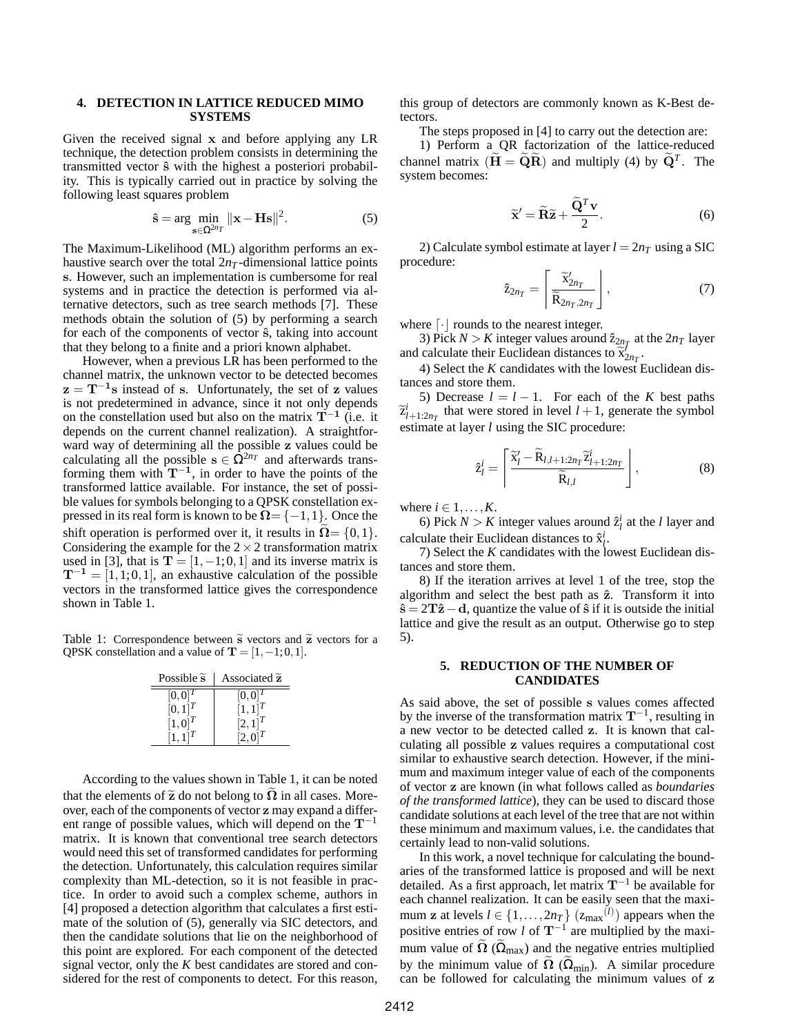## **4. DETECTION IN LATTICE REDUCED MIMO SYSTEMS**

Given the received signal x and before applying any LR technique, the detection problem consists in determining the transmitted vector  $\hat{s}$  with the highest a posteriori probability. This is typically carried out in practice by solving the following least squares problem

$$
\hat{\mathbf{s}} = \arg \min_{\mathbf{s} \in \Omega^{2n}T} \|\mathbf{x} - \mathbf{H}\mathbf{s}\|^2. \tag{5}
$$

The Maximum-Likelihood (ML) algorithm performs an exhaustive search over the total  $2n<sub>T</sub>$ -dimensional lattice points s. However, such an implementation is cumbersome for real systems and in practice the detection is performed via alternative detectors, such as tree search methods [7]. These methods obtain the solution of (5) by performing a search for each of the components of vector  $\hat{s}$ , taking into account that they belong to a finite and a priori known alphabet.

However, when a previous LR has been performed to the channel matrix, the unknown vector to be detected becomes  $z = T^{-1}s$  instead of s. Unfortunately, the set of z values is not predetermined in advance, since it not only depends on the constellation used but also on the matrix  $\mathbf{T}^{-1}$  (i.e. it depends on the current channel realization). A straightforward way of determining all the possible z values could be calculating all the possible  $s \in \hat{\Omega}^{2n}$  and afterwards transforming them with  $T^{-1}$ , in order to have the points of the transformed lattice available. For instance, the set of possible values for symbols belonging to a QPSK constellation expressed in its real form is known to be  $\Omega = \{-1,1\}$ . Once the shift operation is performed over it, it results in  $\Omega = \{0, 1\}.$ Considering the example for the  $2 \times 2$  transformation matrix used in [3], that is  $T = [1, -1, 0, 1]$  and its inverse matrix is  $T^{-1} = [1,1;0,1]$ , an exhaustive calculation of the possible vectors in the transformed lattice gives the correspondence shown in Table 1.

Table 1: Correspondence between  $\tilde{s}$  vectors and  $\tilde{z}$  vectors for a QPSK constellation and a value of  $T = [1, -1; 0, 1]$ .

| Possible $\tilde{s}$ | Associated z |
|----------------------|--------------|
| $[0,0]^T$            | $[0,0]^T$    |
| $[0,1]^{T}$          | $[1, 1]^{T}$ |
| $[1,0]^T$            | $[2,1]^{T}$  |
| $[1, 1]^{T}$         | $[2,0]^{T}$  |

According to the values shown in Table 1, it can be noted that the elements of  $\tilde{z}$  do not belong to  $\Omega$  in all cases. Moreover, each of the components of vector z may expand a different range of possible values, which will depend on the  $T^{-1}$ matrix. It is known that conventional tree search detectors would need this set of transformed candidates for performing the detection. Unfortunately, this calculation requires similar complexity than ML-detection, so it is not feasible in practice. In order to avoid such a complex scheme, authors in [4] proposed a detection algorithm that calculates a first estimate of the solution of (5), generally via SIC detectors, and then the candidate solutions that lie on the neighborhood of this point are explored. For each component of the detected signal vector, only the *K* best candidates are stored and considered for the rest of components to detect. For this reason, this group of detectors are commonly known as K-Best detectors.

The steps proposed in [4] to carry out the detection are:

1) Perform a QR factorization of the lattice-reduced channel matrix  $(\widetilde{H} = \widetilde{Q}\widetilde{R})$  and multiply (4) by  $\widetilde{Q}^T$ . The system becomes:

$$
\widetilde{\mathbf{x}}' = \widetilde{\mathbf{R}} \widetilde{\mathbf{z}} + \frac{\widetilde{\mathbf{Q}}^T \mathbf{v}}{2}.
$$
 (6)

2) Calculate symbol estimate at layer  $l = 2n<sub>T</sub>$  using a SIC procedure:

$$
\hat{z}_{2n_T} = \left[ \frac{\widetilde{\mathbf{x}}'_{2n_T}}{\widetilde{\mathbf{R}}_{2n_T, 2n_T}} \right],\tag{7}
$$

where  $\lceil \cdot \rceil$  rounds to the nearest integer.

3) Pick  $N > K$  integer values around  $\hat{z}_{2n}$  at the  $2n_T$  layer and calculate their Euclidean distances to  $\tilde{\mathbf{x}}'_{2n}$ .<br>
(1) Select the *K* condidates with the lowest **I** 

4) Select the *K* candidates with the lowest Euclidean distances and store them.

5) Decrease  $l = l - 1$ . For each of the *K* best paths  $\widetilde{z}_{l+1:2n_T}^i$  that were stored in level  $l+1$ , generate the symbol<br>estimate at layer *l* using the SIC procedure: estimate at layer *l* using the SIC procedure:

$$
\hat{\mathbf{z}}_l^i = \left[ \frac{\widetilde{\mathbf{x}}_l^{\prime} - \widetilde{\mathbf{R}}_{l,l+1:2n_T} \widetilde{\mathbf{z}}_{l+1:2n_T}^i}{\widetilde{\mathbf{R}}_{l,l}} \right],\tag{8}
$$

where  $i \in 1, \ldots, K$ .

6) Pick  $N > K$  integer values around  $\hat{z}_l^i$  at the *l* layer and calculate their Euclidean distances to  $\hat{x}_l^i$ .

7) Select the *K* candidates with the lowest Euclidean distances and store them.

8) If the iteration arrives at level 1 of the tree, stop the algorithm and select the best path as  $\hat{z}$ . Transform it into  $\hat{\mathbf{s}} = 2\mathbf{T}\hat{\mathbf{z}} - \mathbf{d}$ , quantize the value of  $\hat{\mathbf{s}}$  if it is outside the initial lattice and give the result as an output. Otherwise go to step 5).

## **5. REDUCTION OF THE NUMBER OF CANDIDATES**

As said above, the set of possible s values comes affected by the inverse of the transformation matrix  $T^{-1}$ , resulting in a new vector to be detected called z. It is known that calculating all possible z values requires a computational cost similar to exhaustive search detection. However, if the minimum and maximum integer value of each of the components of vector z are known (in what follows called as *boundaries of the transformed lattice*), they can be used to discard those candidate solutions at each level of the tree that are not within these minimum and maximum values, i.e. the candidates that certainly lead to non-valid solutions.

In this work, a novel technique for calculating the boundaries of the transformed lattice is proposed and will be next detailed. As a first approach, let matrix  $T^{-1}$  be available for each channel realization. It can be easily seen that the maximum **z** at levels  $l \in \{1, ..., 2n_T\}$  ( $z_{\text{max}}^{(l)}$ ) appears when the positive entries of row *l* of  $T^{-1}$  are multiplied by the maximum value of  $\Omega$  ( $\Omega_{\text{max}}$ ) and the negative entries multiplied by the minimum value of  $\Omega$  ( $\Omega_{\text{min}}$ ). A similar procedure can be followed for calculating the minimum values of z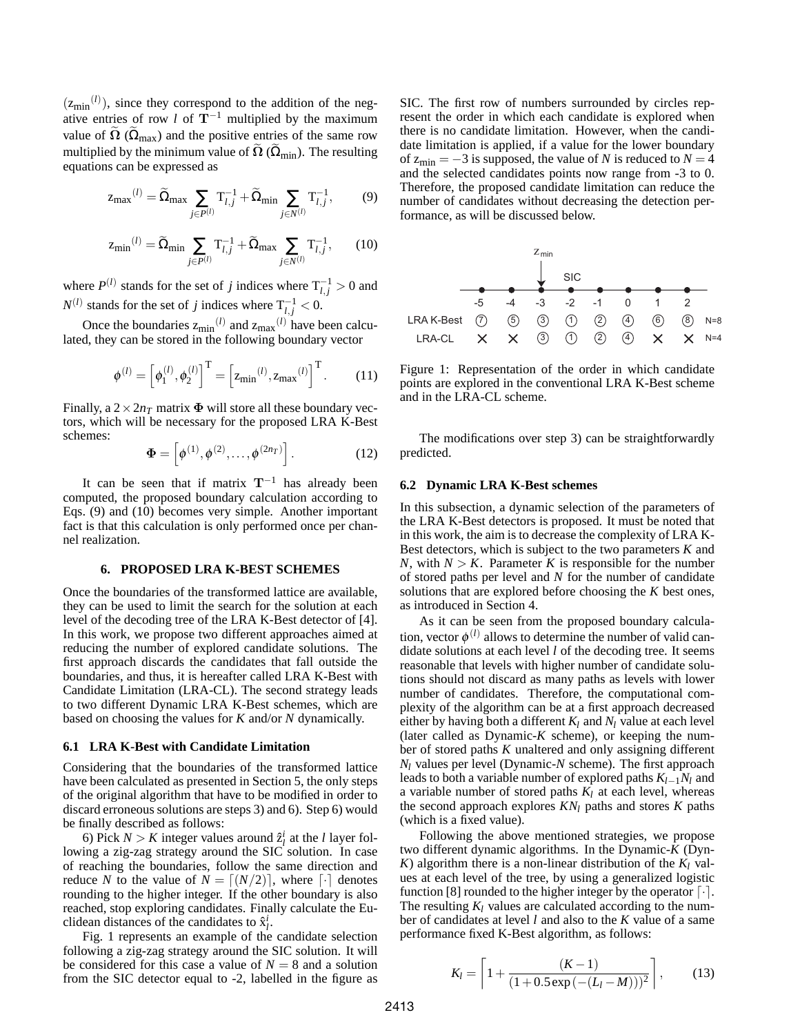$(z_{\text{min}}^{(l)})$ , since they correspond to the addition of the negative entries of row *l* of  $T^{-1}$  multiplied by the maximum value of  $\Omega$  ( $\Omega_{\text{max}}$ ) and the positive entries of the same row multiplied by the minimum value of  $\widetilde{\Omega}$  ( $\widetilde{\Omega}_{\text{min}}$ ). The resulting equations can be expressed as

$$
z_{\max}^{(l)} = \widetilde{\Omega}_{\max} \sum_{j \in P^{(l)}} T_{l,j}^{-1} + \widetilde{\Omega}_{\min} \sum_{j \in N^{(l)}} T_{l,j}^{-1},\tag{9}
$$

$$
z_{\min}^{(l)} = \widetilde{\Omega}_{\min} \sum_{j \in P^{(l)}} T_{l,j}^{-1} + \widetilde{\Omega}_{\max} \sum_{j \in N^{(l)}} T_{l,j}^{-1}, \qquad (10)
$$

where  $P^{(l)}$  stands for the set of *j* indices where  $T_{l,j}^{-1} > 0$  and  $N^{(l)}$  stands for the set of *j* indices where  $T_{l,j}^{-1} < 0$ .

Once the boundaries  $z_{\text{min}}^{(l)}$  and  $z_{\text{max}}^{(l)}$  have been calculated, they can be stored in the following boundary vector

$$
\phi^{(l)} = \left[\phi_1^{(l)}, \phi_2^{(l)}\right]^{\mathrm{T}} = \left[z_{\min}^{(l)}, z_{\max}^{(l)}\right]^{\mathrm{T}}.\tag{11}
$$

Finally, a  $2 \times 2n<sub>T</sub>$  matrix  $\Phi$  will store all these boundary vectors, which will be necessary for the proposed LRA K-Best schemes:

$$
\mathbf{\Phi} = \left[ \phi^{(1)}, \phi^{(2)}, \dots, \phi^{(2n)} \right]. \tag{12}
$$

It can be seen that if matrix  $T^{-1}$  has already been computed, the proposed boundary calculation according to Eqs. (9) and (10) becomes very simple. Another important fact is that this calculation is only performed once per channel realization.

#### **6. PROPOSED LRA K-BEST SCHEMES**

Once the boundaries of the transformed lattice are available, they can be used to limit the search for the solution at each level of the decoding tree of the LRA K-Best detector of [4]. In this work, we propose two different approaches aimed at reducing the number of explored candidate solutions. The first approach discards the candidates that fall outside the boundaries, and thus, it is hereafter called LRA K-Best with Candidate Limitation (LRA-CL). The second strategy leads to two different Dynamic LRA K-Best schemes, which are based on choosing the values for *K* and/or *N* dynamically.

#### **6.1 LRA K-Best with Candidate Limitation**

Considering that the boundaries of the transformed lattice have been calculated as presented in Section 5, the only steps of the original algorithm that have to be modified in order to discard erroneous solutions are steps 3) and 6). Step 6) would be finally described as follows:

6) Pick  $N > K$  integer values around  $\hat{z}_l^i$  at the *l* layer following a zig-zag strategy around the SIC solution. In case of reaching the boundaries, follow the same direction and reduce *N* to the value of  $N = \lfloor (N/2) \rfloor$ , where  $\lfloor \cdot \rfloor$  denotes rounding to the higher integer. If the other boundary is also reached, stop exploring candidates. Finally calculate the Euclidean distances of the candidates to  $\hat{x}_i^i$ .

Fig. 1 represents an example of the candidate selection following a zig-zag strategy around the SIC solution. It will be considered for this case a value of  $N = 8$  and a solution from the SIC detector equal to -2, labelled in the figure as SIC. The first row of numbers surrounded by circles represent the order in which each candidate is explored when there is no candidate limitation. However, when the candidate limitation is applied, if a value for the lower boundary of  $z_{\text{min}} = -3$  is supposed, the value of *N* is reduced to  $N = 4$ and the selected candidates points now range from -3 to 0. Therefore, the proposed candidate limitation can reduce the number of candidates without decreasing the detection performance, as will be discussed below.



Figure 1: Representation of the order in which candidate points are explored in the conventional LRA K-Best scheme and in the LRA-CL scheme.

The modifications over step 3) can be straightforwardly predicted.

#### **6.2 Dynamic LRA K-Best schemes**

In this subsection, a dynamic selection of the parameters of the LRA K-Best detectors is proposed. It must be noted that in this work, the aim is to decrease the complexity of LRA K-Best detectors, which is subject to the two parameters *K* and *N*, with  $N > K$ . Parameter *K* is responsible for the number of stored paths per level and *N* for the number of candidate solutions that are explored before choosing the *K* best ones, as introduced in Section 4.

As it can be seen from the proposed boundary calculation, vector  $\phi^{(l)}$  allows to determine the number of valid candidate solutions at each level *l* of the decoding tree. It seems reasonable that levels with higher number of candidate solutions should not discard as many paths as levels with lower number of candidates. Therefore, the computational complexity of the algorithm can be at a first approach decreased either by having both a different  $K_l$  and  $N_l$  value at each level (later called as Dynamic-*K* scheme), or keeping the number of stored paths *K* unaltered and only assigning different *N<sup>l</sup>* values per level (Dynamic-*N* scheme). The first approach leads to both a variable number of explored paths *Kl*−1*N<sup>l</sup>* and a variable number of stored paths *K<sup>l</sup>* at each level, whereas the second approach explores *KN<sup>l</sup>* paths and stores *K* paths (which is a fixed value).

Following the above mentioned strategies, we propose two different dynamic algorithms. In the Dynamic-*K* (Dyn- $K$ ) algorithm there is a non-linear distribution of the  $K_l$  values at each level of the tree, by using a generalized logistic function [8] rounded to the higher integer by the operator  $\lceil \cdot \rceil$ . The resulting  $K_l$  values are calculated according to the number of candidates at level *l* and also to the *K* value of a same performance fixed K-Best algorithm, as follows:

$$
K_l = \left\lceil 1 + \frac{(K-1)}{(1+0.5\exp(-(L_l - M)))^2} \right\rceil, \tag{13}
$$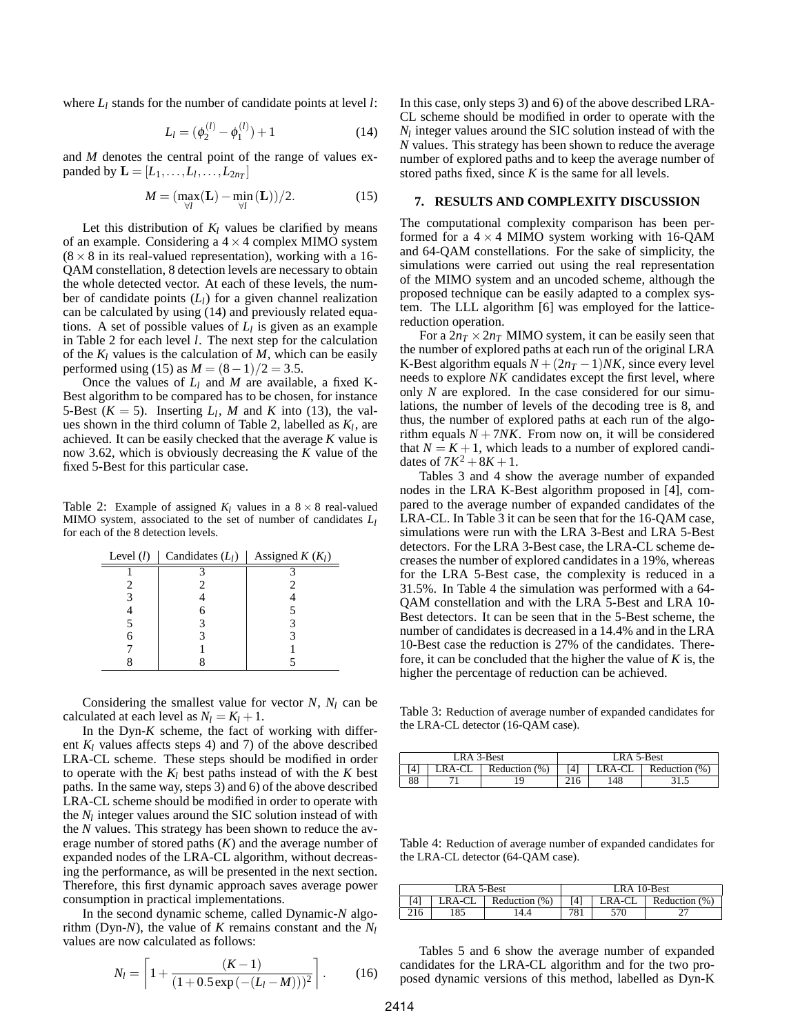where *L<sup>l</sup>* stands for the number of candidate points at level *l*:

$$
L_l = (\phi_2^{(l)} - \phi_1^{(l)}) + 1 \tag{14}
$$

and *M* denotes the central point of the range of values expanded by  $\mathbf{L} = [L_1, \ldots, L_l, \ldots, L_{2n_T}]$ 

$$
M = \left(\max_{\forall l} (\mathbf{L}) - \min_{\forall l} (\mathbf{L})\right)/2. \tag{15}
$$

Let this distribution of  $K_l$  values be clarified by means of an example. Considering a  $4 \times 4$  complex MIMO system  $(8 \times 8)$  in its real-valued representation), working with a 16-QAM constellation, 8 detection levels are necessary to obtain the whole detected vector. At each of these levels, the number of candidate points (*Ll*) for a given channel realization can be calculated by using (14) and previously related equations. A set of possible values of  $L_l$  is given as an example in Table 2 for each level *l*. The next step for the calculation of the *K<sup>l</sup>* values is the calculation of *M*, which can be easily performed using (15) as  $M = (8-1)/2 = 3.5$ .

Once the values of  $L_l$  and M are available, a fixed K-Best algorithm to be compared has to be chosen, for instance 5-Best  $(K = 5)$ . Inserting  $L_l$ , M and K into (13), the values shown in the third column of Table 2, labelled as *K<sup>l</sup>* , are achieved. It can be easily checked that the average *K* value is now 3.62, which is obviously decreasing the *K* value of the fixed 5-Best for this particular case.

Table 2: Example of assigned  $K_l$  values in a  $8 \times 8$  real-valued MIMO system, associated to the set of number of candidates *L<sup>l</sup>* for each of the 8 detection levels.

| Level $(l)$ | Candidates $(L_l)$ | Assigned $K(K_l)$ |
|-------------|--------------------|-------------------|
|             |                    |                   |
|             |                    |                   |
|             |                    |                   |
|             |                    |                   |
|             |                    |                   |
|             |                    |                   |
|             |                    |                   |
|             |                    |                   |

Considering the smallest value for vector  $N$ ,  $N_l$  can be calculated at each level as  $N_l = K_l + 1$ .

In the Dyn-*K* scheme, the fact of working with different  $K_l$  values affects steps 4) and 7) of the above described LRA-CL scheme. These steps should be modified in order to operate with the  $K_l$  best paths instead of with the  $K$  best paths. In the same way, steps 3) and 6) of the above described LRA-CL scheme should be modified in order to operate with the  $N_l$  integer values around the SIC solution instead of with the *N* values. This strategy has been shown to reduce the average number of stored paths (*K*) and the average number of expanded nodes of the LRA-CL algorithm, without decreasing the performance, as will be presented in the next section. Therefore, this first dynamic approach saves average power consumption in practical implementations.

In the second dynamic scheme, called Dynamic-*N* algorithm (Dyn-*N*), the value of *K* remains constant and the *N<sup>l</sup>* values are now calculated as follows:

$$
N_l = \left[1 + \frac{(K-1)}{(1+0.5\exp(-(L_l - M)))^2}\right].
$$
 (16)

In this case, only steps 3) and 6) of the above described LRA-CL scheme should be modified in order to operate with the  $N_l$  integer values around the SIC solution instead of with the *N* values. This strategy has been shown to reduce the average number of explored paths and to keep the average number of stored paths fixed, since  $K$  is the same for all levels.

## **7. RESULTS AND COMPLEXITY DISCUSSION**

The computational complexity comparison has been performed for a  $4 \times 4$  MIMO system working with 16-QAM and 64-QAM constellations. For the sake of simplicity, the simulations were carried out using the real representation of the MIMO system and an uncoded scheme, although the proposed technique can be easily adapted to a complex system. The LLL algorithm [6] was employed for the latticereduction operation.

For a  $2n<sub>T</sub> \times 2n<sub>T</sub>$  MIMO system, it can be easily seen that the number of explored paths at each run of the original LRA K-Best algorithm equals  $N + (2n<sub>T</sub> - 1)NK$ , since every level needs to explore *NK* candidates except the first level, where only *N* are explored. In the case considered for our simulations, the number of levels of the decoding tree is 8, and thus, the number of explored paths at each run of the algorithm equals  $N + 7NK$ . From now on, it will be considered that  $N = K + 1$ , which leads to a number of explored candidates of  $7K^2 + 8K + 1$ .

Tables 3 and 4 show the average number of expanded nodes in the LRA K-Best algorithm proposed in [4], compared to the average number of expanded candidates of the LRA-CL. In Table 3 it can be seen that for the 16-QAM case, simulations were run with the LRA 3-Best and LRA 5-Best detectors. For the LRA 3-Best case, the LRA-CL scheme decreases the number of explored candidates in a 19%, whereas for the LRA 5-Best case, the complexity is reduced in a 31.5%. In Table 4 the simulation was performed with a 64- QAM constellation and with the LRA 5-Best and LRA 10- Best detectors. It can be seen that in the 5-Best scheme, the number of candidates is decreased in a 14.4% and in the LRA 10-Best case the reduction is 27% of the candidates. Therefore, it can be concluded that the higher the value of *K* is, the higher the percentage of reduction can be achieved.

Table 3: Reduction of average number of expanded candidates for the LRA-CL detector (16-QAM case).

| LRA 3-Best |        |                  | LRA 5-Best                    |    |        |
|------------|--------|------------------|-------------------------------|----|--------|
|            | .RA-CL | Reduction $(\%)$ | Reduction (%)<br>_RA-CL<br>ί4 |    |        |
| oo         |        | , Q              |                               | 48 | ن. 1 ب |

Table 4: Reduction of average number of expanded candidates for the LRA-CL detector (64-QAM case).

| LRA 5-Best |        |               | LRA 10-Best                    |     |  |
|------------|--------|---------------|--------------------------------|-----|--|
|            | _RA-CL | Reduction (%) | LRA-CL<br>Reduction (%)<br>í41 |     |  |
|            | 85     | l 4.4         | 781                            | 570 |  |

Tables 5 and 6 show the average number of expanded candidates for the LRA-CL algorithm and for the two proposed dynamic versions of this method, labelled as Dyn-K